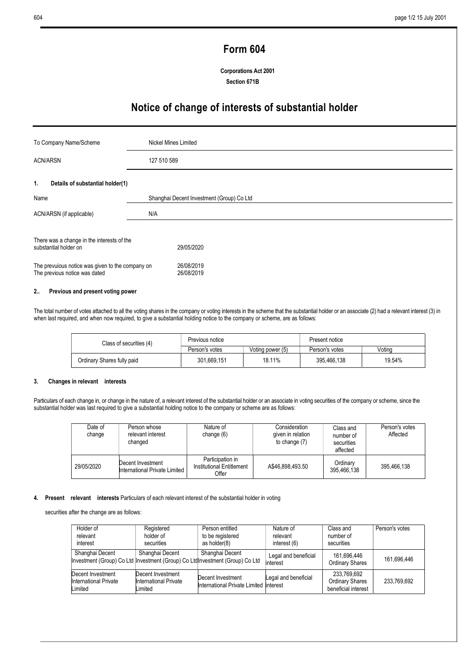# Form 604

Corporations Act 2001 Section 671B

# Notice of change of interests of substantial holder

| To Company Name/Scheme                                                            | Nickel Mines Limited                      |  |
|-----------------------------------------------------------------------------------|-------------------------------------------|--|
| <b>ACN/ARSN</b>                                                                   | 127 510 589                               |  |
| Details of substantial holder(1)<br>1.                                            |                                           |  |
| Name                                                                              | Shanghai Decent Investment (Group) Co Ltd |  |
| ACN/ARSN (if applicable)                                                          | N/A                                       |  |
| There was a change in the interests of the<br>substantial holder on               | 29/05/2020                                |  |
| The prevuious notice was given to the company on<br>The previous notice was dated | 26/08/2019<br>26/08/2019                  |  |

## 2.. Previous and present voting power

The total number of votes attached to all the voting shares in the company or voting interests in the scheme that the substantial holder or an associate (2) had a relevant interest (3) in when last required, and when now required, to give a substantial holding notice to the company or scheme, are as follows:

| Class of securities (4)    | Previous notice |                  | Present notice |        |
|----------------------------|-----------------|------------------|----------------|--------|
|                            | Person's votes  | Voting power (5) | Person's votes | Votina |
| Ordinary Shares fully paid | 301.669.151     | 18.11%           | 395.466.138    | 19.54% |

#### 3. Changes in relevant interests

Particulars of each change in, or change in the nature of, a relevant interest of the substantial holder or an associate in voting securities of the company or scheme, since the substantial holder was last required to give a substantial holding notice to the company or scheme are as follows:

| Date of<br>change | Person whose<br>relevant interest<br>changed       | Nature of<br>change $(6)$                              | Consideration<br>given in relation<br>to change (7) | Class and<br>number of<br>securities<br>affected | Person's votes<br>Affected |
|-------------------|----------------------------------------------------|--------------------------------------------------------|-----------------------------------------------------|--------------------------------------------------|----------------------------|
| 29/05/2020        | Decent Investment<br>International Private Limited | Participation in<br>Institutional Entitlement<br>Offer | A\$46.898.493.50                                    | Ordinary<br>395,466,138                          | 395.466.138                |

### 4. Present relevant interests Particulars of each relevant interest of the substantial holder in voting

securities after the change are as follows:

| Holder of                                             | Registered                                            | Person entitled                                                                                 | Nature of                        | Class and                                                    | Person's votes |
|-------------------------------------------------------|-------------------------------------------------------|-------------------------------------------------------------------------------------------------|----------------------------------|--------------------------------------------------------------|----------------|
| relevant                                              | holder of                                             | to be registered                                                                                | relevant                         | number of                                                    |                |
| interest                                              | securities                                            | as holder(8)                                                                                    | interest (6)                     | securities                                                   |                |
| Shanghai Decent                                       | Shanghai Decent                                       | Shanghai Decent<br>Investment (Group) Co Ltd Investment (Group) Co LtdInvestment (Group) Co Ltd | Legal and beneficial<br>interest | 161.696.446<br><b>Ordinary Shares</b>                        | 161.696.446    |
| Decent Investment<br>International Private<br>Limited | Decent Investment<br>International Private<br>Limited | Decent Investment<br>International Private Limited Interest                                     | Legal and beneficial             | 233.769.692<br><b>Ordinary Shares</b><br>beneficial interest | 233.769.692    |